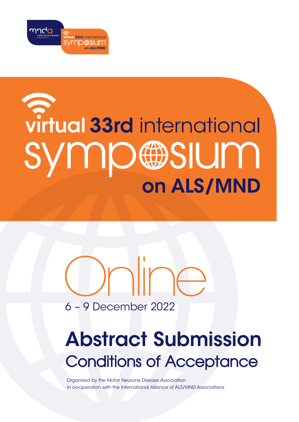

# virtual 33rd international **UMBIRSIUM** on ALS/MND

## 6 – 9 December 2022 Online

## Abstract Submission Conditions of Acceptance

Organised by the Motor Neurone Disease Association in co-operation with the International Alliance of ALS/MND Associations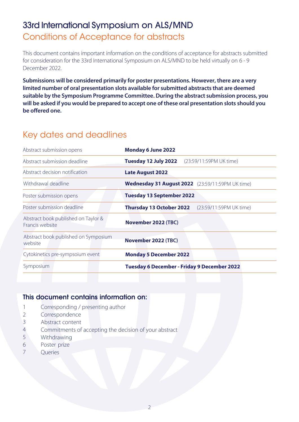## 33rd International Symposium on ALS/MND Conditions of Acceptance for abstracts

This document contains important information on the conditions of acceptance for abstracts submitted for consideration for the 33rd International Symposium on ALS/MND to be held virtually on 6 - 9 December 2022.

**Submissions will be considered primarily for poster presentations. However, there are a very limited number of oral presentation slots available for submitted abstracts that are deemed suitable by the Symposium Programme Committee. During the abstract submission process, you will be asked if you would be prepared to accept one of these oral presentation slots should you be offered one.**

## Key dates and deadlines

| Abstract submission opens                              | <b>Monday 6 June 2022</b>                               |
|--------------------------------------------------------|---------------------------------------------------------|
| Abstract submission deadline                           | Tuesday 12 July 2022<br>(23:59/11:59PM UK time)         |
| Abstract decision notification                         | <b>Late August 2022</b>                                 |
| Withdrawal deadline                                    | Wednesday 31 August 2022 (23:59/11:59PM UK time)        |
| Poster submission opens                                | <b>Tuesday 13 September 2022</b>                        |
| Poster submission deadline                             | <b>Thursday 13 October 2022</b> (23:59/11:59PM UK time) |
| Abstract book published on Taylor &<br>Francis website | November 2022 (TBC)                                     |
| Abstract book published on Symposium<br>website        | November 2022 (TBC)                                     |
| Cytokinetics pre-sympsoium event                       | <b>Monday 5 December 2022</b>                           |
| Symposium                                              | <b>Tuesday 6 December - Friday 9 December 2022</b>      |

#### This document contains information on:

- 1 Corresponding / presenting author
- 2 Correspondence
- 3 Abstract content
- 4 Commitments of accepting the decision of your abstract
- 5 Withdrawing
- 6 Poster prize
- 7 **Queries**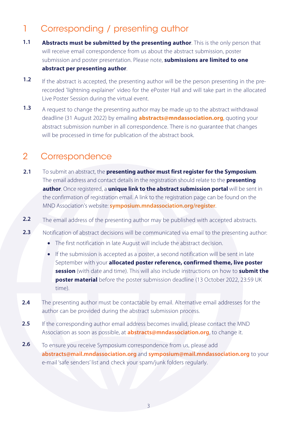## 1 Corresponding / presenting author

- **1.1 Abstracts must be submitted by the presenting author**. This is the only person that will receive email correspondence from us about the abstract submission, poster submission and poster presentation. Please note, **submissions are limited to one abstract per presenting author**.
- **1.2** If the abstract is accepted, the presenting author will be the person presenting in the prerecorded 'lightning explainer' video for the ePoster Hall and will take part in the allocated Live Poster Session during the virtual event.
- **1.3** A request to change the presenting author may be made up to the abstract withdrawal deadline (31 August 2022) by emailing **abstracts@mndassociation.org**, quoting your abstract submission number in all correspondence. There is no guarantee that changes will be processed in time for publication of the abstract book.

## 2 Correspondence

- To submit an abstract, the **presenting author must first register for the Symposium**. The email address and contact details in the registration should relate to the **presenting author**. Once registered, a **unique link to the abstract submission portal** will be sent in the confirmation of registration email. A link to the registration page can be found on the MND Association's website: **[symposium.mndassociation.org/register](https://symposium.mndassociation.org/register)**. **2.1**
- The email address of the presenting author may be published with accepted abstracts. **2.2**
- Notification of abstract decisions will be communicated via email to the presenting author: **2.3**
	- The first notification in late August will include the abstract decision.
	- If the submission is accepted as a poster, a second notification will be sent in late September with your **allocated poster reference, confirmed theme, live poster session** (with date and time). This will also include instructions on how to **submit the poster material** before the poster submission deadline (13 October 2022, 23:59 UK time).
- The presenting author must be contactable by email. Alternative email addresses for the author can be provided during the abstract submission process. **2.4**
- If the corresponding author email address becomes invalid, please contact the MND Association as soon as possible, at **abstracts@mndassociation.org**, to change it. **2.5**
- To ensure you receive Symposium correspondence from us, please add **abstracts@mail.mndassociation.org** and **symposium@mail.mndassociation.org** to your e-mail 'safe senders' list and check your spam/junk folders regularly. **2.6**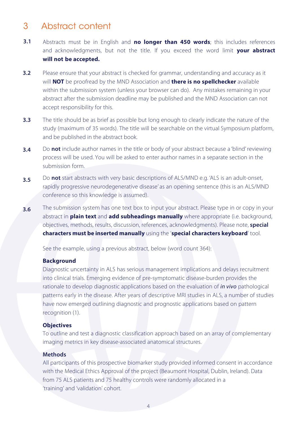## 3 Abstract content

- **3.1** Abstracts must be in English and **no longer than 450 words**; this includes references and acknowledgments, but not the title. If you exceed the word limit **your abstract will not be accepted.**
- **3.2** Please ensure that your abstract is checked for grammar, understanding and accuracy as it will **NOT** be proofread by the MND Association and **there is no spellchecker** available within the submission system (unless your browser can do). Any mistakes remaining in your abstract after the submission deadline may be published and the MND Association can not accept responsibility for this.
- **3.3** The title should be as brief as possible but long enough to clearly indicate the nature of the study (maximum of 35 words). The title will be searchable on the virtual Symposium platform, and be published in the abstract book.
- **3.4** Do **not** include author names in the title or body of your abstract because a 'blind' reviewing process will be used. You will be asked to enter author names in a separate section in the submission form.
- **3.5** Do **not** start abstracts with very basic descriptions of ALS/MND e.g. 'ALS is an adult-onset, rapidly progressive neurodegenerative disease' as an opening sentence (this is an ALS/MND conference so this knowledge is assumed).
- **3.6** The submission system has one text box to input your abstract. Please type in or copy in your abstract in **plain text** and **add subheadings manually** where appropriate (i.e. background, objectives, methods, results, discussion, references, acknowledgments). Please note, **special characters must be inserted manually** using the '**special characters keyboard**' tool.

See the example, using a previous abstract, below (word count 364):

#### **Background**

Diagnostic uncertainty in ALS has serious management implications and delays recruitment into clinical trials. Emerging evidence of pre-symptomatic disease-burden provides the rationale to develop diagnostic applications based on the evaluation of *in vivo* pathological patterns early in the disease. After years of descriptive MRI studies in ALS, a number of studies have now emerged outlining diagnostic and prognostic applications based on pattern recognition (1).

#### **Objectives**

To outline and test a diagnostic classification approach based on an array of complementary imaging metrics in key disease-associated anatomical structures.

#### **Methods**

All participants of this prospective biomarker study provided informed consent in accordance with the Medical Ethics Approval of the project (Beaumont Hospital, Dublin, Ireland). Data from 75 ALS patients and 75 healthy controls were randomly allocated in a 'training' and 'validation' cohort.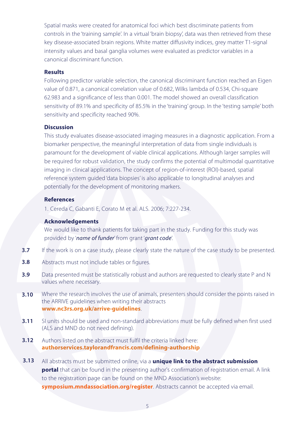Spatial masks were created for anatomical foci which best discriminate patients from controls in the 'training sample'. In a virtual 'brain biopsy', data was then retrieved from these key disease-associated brain regions. White matter diffusivity indices, grey matter T1-signal intensity values and basal ganglia volumes were evaluated as predictor variables in a canonical discriminant function.

#### **Results**

Following predictor variable selection, the canonical discriminant function reached an Eigen value of 0.871, a canonical correlation value of 0.682, Wilks lambda of 0.534, Chi-square 62.983 and a significance of less than 0.001. The model showed an overall classification sensitivity of 89.1% and specificity of 85.5% in the 'training' group. In the 'testing sample' both sensitivity and specificity reached 90%.

#### **Discussion**

This study evaluates disease-associated imaging measures in a diagnostic application. From a biomarker perspective, the meaningful interpretation of data from single individuals is paramount for the development of viable clinical applications. Although larger samples will be required for robust validation, the study confirms the potential of multimodal quantitative imaging in clinical applications. The concept of region-of-interest (ROI)-based, spatial reference system guided 'data biopsies' is also applicable to longitudinal analyses and potentially for the development of monitoring markers.

#### **References**

1. Cereda C, Gabanti E, Corato M et al. ALS. 2006; 7:227-234.

#### **Acknowledgements**

We would like to thank patients for taking part in the study. Funding for this study was provided by '*name of funder*' from grant '*grant code*'.

- If the work is on a case study, please clearly state the nature of the case study to be presented. **3.7**
- Abstracts must not include tables or figures. **3.8**
- Data presented must be statistically robust and authors are requested to clearly state P and N values where necessary. **3.9**
- Where the research involves the use of animals, presenters should consider the points raised in the ARRIVE guidelines when writing their abstracts **www.nc3rs.org.uk/arrive-guidelines**. **3.10**
- SI units should be used and non-standard abbreviations must be fully defined when first used [\(ALS and MND do not need defining](www.nc3rs.org.uk/arrive-guidelines)). **3.11**
- Authors listed on the abstract must fulfil the criteria linked here: **[authorservices.taylorandfrancis.com/defining-authorship](http://authorservices.taylorandfrancis.com/defining-authorship) 3.12**
- All abstracts must be submitted online, via a **unique link to the abstract submission portal** that can be found in the presenting author's confirmation of registration email. A link to the registration page can be found on the MND Association's website: **symposium.mndassociation.org/register**. Abstracts cannot be accepted via email. **3.13**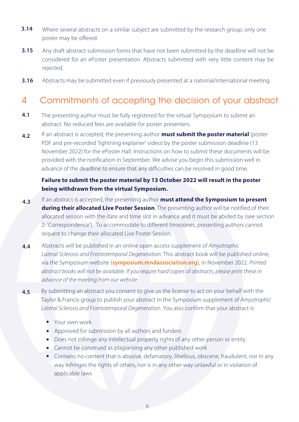- Where several abstracts on a similar subject are submitted by the research group, only one poster may be offered. **3.14**
- Any draft abstract submission forms that have not been submitted by the deadline will not be considered for an ePoster presentation. Abstracts submitted with very little content may be rejected. **3.15**
- Abstracts may be submitted even if previously presented at a national/international meeting. **3.16**

## 4 Commitments of accepting the decision of your abstract

- **4.1** The presenting author must be fully registered for the virtual Symposium to submit an abstract. No reduced fees are available for poster presenters.
- **4.2** If an abstract is accepted, the presenting author **must submit the poster material** (poster PDF and pre-recorded 'lightning explainer' video) by the poster submission deadline (13 November 2022) for the ePoster Hall. Instructions on how to submit these documents will be provided with the notification in September. We advise you begin this submission well in advance of the deadline to ensure that any difficulties can be resolved in good time.

#### **Failure to submit the poster material by 13 October 2022 will result in the poster being withdrawn from the virtual Symposium.**

- **4.3** If an abstract is accepted, the presenting author **must attend the Symposium to present during their allocated Live Poster Session**. The presenting author will be notified of their allocated session with the date and time slot in advance and it must be abided by (see section 2: 'Correspondence'). To accommodate to different timezones, presenting authors cannot request to change their allocated Live Poster Session.
- **4.4** Abstracts will be published in an online open access supplement of Amyotrophic Lateral Sclerosis and Frontotemporal Degeneration. This abstract book will be published online, via the Symposium website (**[symposium.mndassociation.org](https://symposium.mndassociation.org/)**), in November 2022. Printed abstract books will not be available. If you require hard copies of abstracts, please print these in advance of the meeting from our website.
- **4.5** By submitting an abstract you consent to give us the license to act on your behalf with the Taylor & Francis group to publish your abstract in the Symposium supplement of Amyotrophic Lateral Sclerosis and Frontotemporal Degeneration. You also confirm that your abstract is:
	- Your own work
	- Approved for submission by all authors and funders
	- Does not infringe any intellectual property rights of any other person or entity
	- Cannot be construed as plagiarising any other published work
	- Contains no content that is abusive, defamatory, libellous, obscene, fraudulent, nor in any way infringes the rights of others, nor is in any other way unlawful or in violation of applicable laws